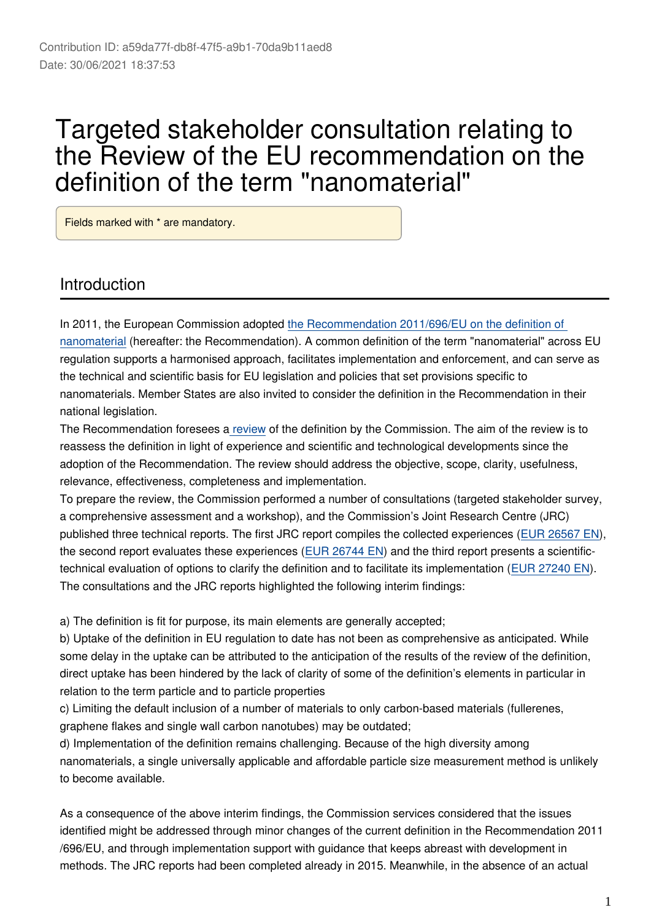# Targeted stakeholder consultation relating to the Review of the EU recommendation on the definition of the term "nanomaterial"

Fields marked with \* are mandatory.

## Introduction

In 2011, the European Commission adopted [the Recommendation 2011/696/EU on the definition of](http://eur-lex.europa.eu/eli/reco/2011/696/oj)  [nanomaterial](http://eur-lex.europa.eu/eli/reco/2011/696/oj) (hereafter: the Recommendation). A common definition of the term "nanomaterial" across EU regulation supports a harmonised approach, facilitates implementation and enforcement, and can serve as the technical and scientific basis for EU legislation and policies that set provisions specific to nanomaterials. Member States are also invited to consider the definition in the Recommendation in their national legislation.

The Recommendation foresees a [review](https://ec.europa.eu/environment/chemicals/nanotech/faq/definition_en.htm) of the definition by the Commission. The aim of the review is to reassess the definition in light of experience and scientific and technological developments since the adoption of the Recommendation. The review should address the objective, scope, clarity, usefulness, relevance, effectiveness, completeness and implementation.

To prepare the review, the Commission performed a number of consultations (targeted stakeholder survey, a comprehensive assessment and a workshop), and the Commission's Joint Research Centre (JRC) published three technical reports. The first JRC report compiles the collected experiences [\(EUR 26567 EN](http://publications.jrc.ec.europa.eu/repository/bitstream/JRC89369/lbna26567enn.pdf)), the second report evaluates these experiences ([EUR 26744 EN\)](http://publications.jrc.ec.europa.eu/repository/bitstream/JRC91377/jrc_nm-def_report2_eur26744.pdf) and the third report presents a scientifictechnical evaluation of options to clarify the definition and to facilitate its implementation ([EUR 27240 EN](http://publications.jrc.ec.europa.eu/repository/bitstream/JRC95675/towards%20review%20ec%20rec%20def%20nanomaterial%20-%20part%203_report_online%20id.pdf)). The consultations and the JRC reports highlighted the following interim findings:

a) The definition is fit for purpose, its main elements are generally accepted;

b) Uptake of the definition in EU regulation to date has not been as comprehensive as anticipated. While some delay in the uptake can be attributed to the anticipation of the results of the review of the definition, direct uptake has been hindered by the lack of clarity of some of the definition's elements in particular in relation to the term particle and to particle properties

c) Limiting the default inclusion of a number of materials to only carbon-based materials (fullerenes, graphene flakes and single wall carbon nanotubes) may be outdated;

d) Implementation of the definition remains challenging. Because of the high diversity among nanomaterials, a single universally applicable and affordable particle size measurement method is unlikely to become available.

As a consequence of the above interim findings, the Commission services considered that the issues identified might be addressed through minor changes of the current definition in the Recommendation 2011 /696/EU, and through implementation support with guidance that keeps abreast with development in methods. The JRC reports had been completed already in 2015. Meanwhile, in the absence of an actual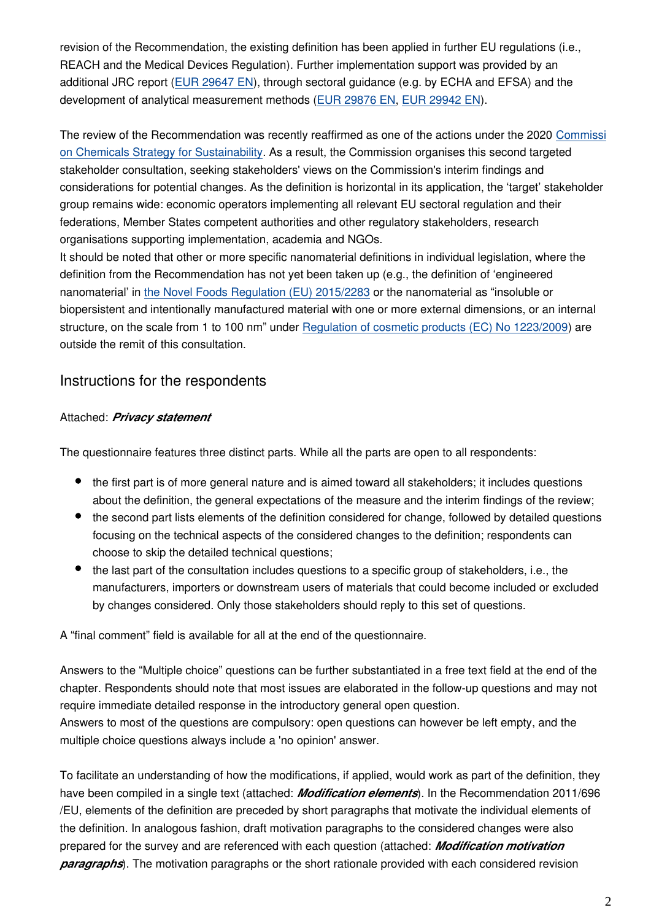revision of the Recommendation, the existing definition has been applied in further EU regulations (i.e., REACH and the Medical Devices Regulation). Further implementation support was provided by an additional JRC report ([EUR 29647 EN\)](http://publications.jrc.ec.europa.eu/repository/handle/JRC113469), through sectoral guidance (e.g. by ECHA and EFSA) and the development of analytical measurement methods ([EUR 29876 EN,](http://publications.jrc.ec.europa.eu/repository/handle/JRC117501) [EUR 29942 EN\)](http://publications.jrc.ec.europa.eu/repository/handle/JRC118158).

The review of the Recommendation was recently reaffirmed as one of the actions under the 2020 [Commissi](https://ec.europa.eu/environment/strategy/chemicals-strategy_en) [on Chemicals Strategy for Sustainability](https://ec.europa.eu/environment/strategy/chemicals-strategy_en). As a result, the Commission organises this second targeted stakeholder consultation, seeking stakeholders' views on the Commission's interim findings and considerations for potential changes. As the definition is horizontal in its application, the 'target' stakeholder group remains wide: economic operators implementing all relevant EU sectoral regulation and their federations, Member States competent authorities and other regulatory stakeholders, research organisations supporting implementation, academia and NGOs.

It should be noted that other or more specific nanomaterial definitions in individual legislation, where the definition from the Recommendation has not yet been taken up (e.g., the definition of 'engineered nanomaterial' in [the Novel Foods Regulation \(EU\) 2015/2283](https://ec.europa.eu/food/safety/novel_food/legislation_en) or the nanomaterial as "insoluble or biopersistent and intentionally manufactured material with one or more external dimensions, or an internal structure, on the scale from 1 to 100 nm" under [Regulation of cosmetic products \(EC\) No 1223/2009\)](https://ec.europa.eu/growth/sectors/cosmetics/legislation_en) are outside the remit of this consultation.

#### Instructions for the respondents

#### Attached: *Privacy statement*

The questionnaire features three distinct parts. While all the parts are open to all respondents:

- the first part is of more general nature and is aimed toward all stakeholders; it includes questions about the definition, the general expectations of the measure and the interim findings of the review;
- the second part lists elements of the definition considered for change, followed by detailed questions focusing on the technical aspects of the considered changes to the definition; respondents can choose to skip the detailed technical questions;
- the last part of the consultation includes questions to a specific group of stakeholders, i.e., the manufacturers, importers or downstream users of materials that could become included or excluded by changes considered. Only those stakeholders should reply to this set of questions.

A "final comment" field is available for all at the end of the questionnaire.

Answers to the "Multiple choice" questions can be further substantiated in a free text field at the end of the chapter. Respondents should note that most issues are elaborated in the follow-up questions and may not require immediate detailed response in the introductory general open question.

Answers to most of the questions are compulsory: open questions can however be left empty, and the multiple choice questions always include a 'no opinion' answer.

To facilitate an understanding of how the modifications, if applied, would work as part of the definition, they have been compiled in a single text (attached: *Modification elements*). In the Recommendation 2011/696 /EU, elements of the definition are preceded by short paragraphs that motivate the individual elements of the definition. In analogous fashion, draft motivation paragraphs to the considered changes were also prepared for the survey and are referenced with each question (attached: *Modification motivation paragraphs*). The motivation paragraphs or the short rationale provided with each considered revision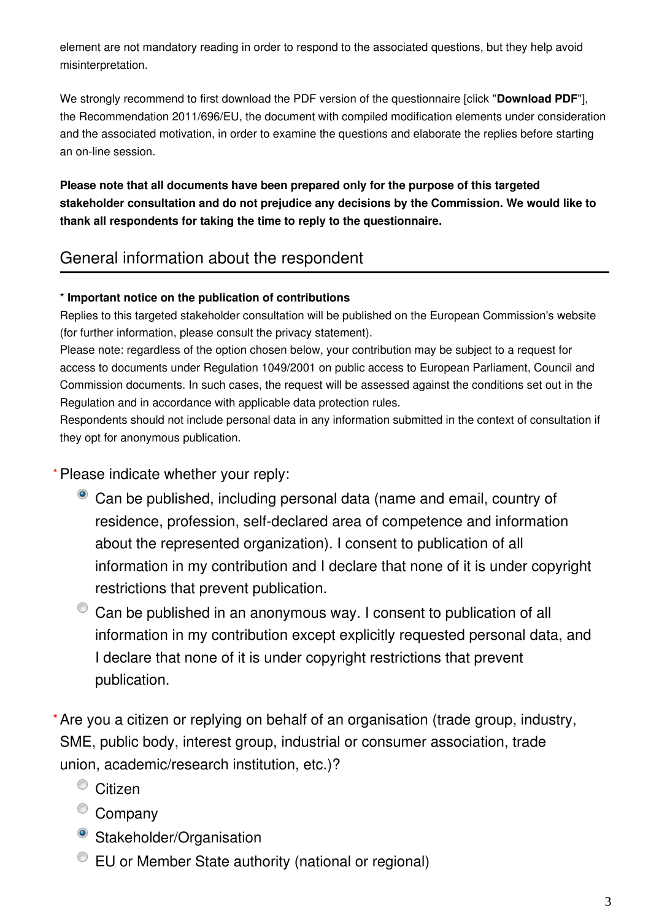element are not mandatory reading in order to respond to the associated questions, but they help avoid misinterpretation.

We strongly recommend to first download the PDF version of the questionnaire [click "**Download PDF**"], the Recommendation 2011/696/EU, the document with compiled modification elements under consideration and the associated motivation, in order to examine the questions and elaborate the replies before starting an on-line session.

**Please note that all documents have been prepared only for the purpose of this targeted stakeholder consultation and do not prejudice any decisions by the Commission. We would like to thank all respondents for taking the time to reply to the questionnaire.**

## General information about the respondent

#### \* **Important notice on the publication of contributions**

Replies to this targeted stakeholder consultation will be published on the European Commission's website (for further information, please consult the privacy statement).

Please note: regardless of the option chosen below, your contribution may be subject to a request for access to documents under Regulation 1049/2001 on public access to European Parliament, Council and Commission documents. In such cases, the request will be assessed against the conditions set out in the Regulation and in accordance with applicable data protection rules.

Respondents should not include personal data in any information submitted in the context of consultation if they opt for anonymous publication.

Please indicate whether your reply: **\***

- <sup>o</sup> Can be published, including personal data (name and email, country of residence, profession, self-declared area of competence and information about the represented organization). I consent to publication of all information in my contribution and I declare that none of it is under copyright restrictions that prevent publication.
- $\bullet$  Can be published in an anonymous way. I consent to publication of all information in my contribution except explicitly requested personal data, and I declare that none of it is under copyright restrictions that prevent publication.
- Are you a citizen or replying on behalf of an organisation (trade group, industry, **\***SME, public body, interest group, industrial or consumer association, trade union, academic/research institution, etc.)?
	- <sup>O</sup> Citizen
	- <sup>O</sup> Company
	- Stakeholder/Organisation
	- EU or Member State authority (national or regional)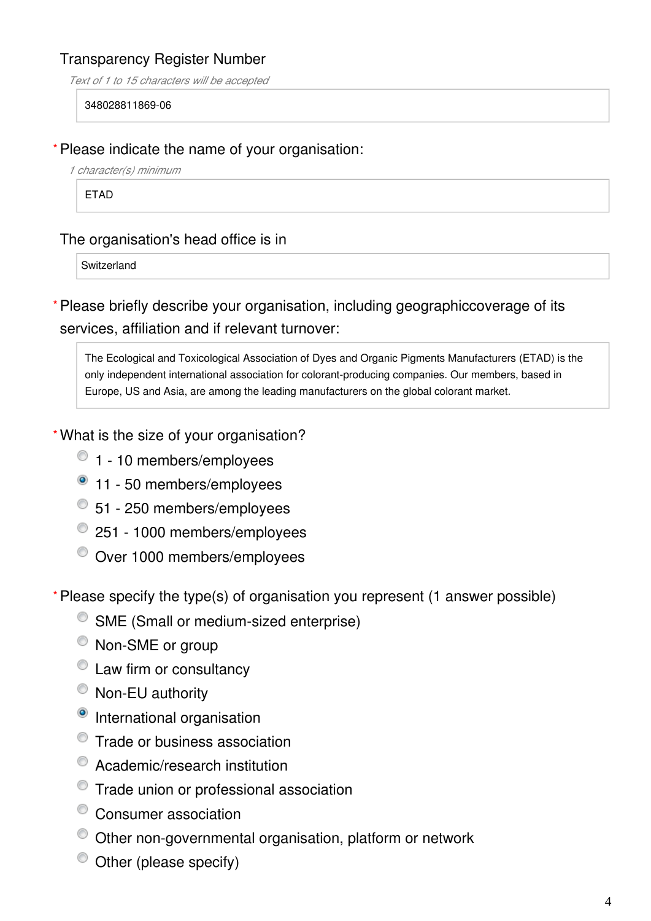## Transparency Register Number

*Text of 1 to 15 characters will be accepted*

#### 348028811869-06

#### Please indicate the name of your organisation: **\***

*1 character(s) minimum*

ETAD

### The organisation's head office is in

**Switzerland** 

Please briefly describe your organisation, including geographiccoverage of its **\*** services, affiliation and if relevant turnover:

The Ecological and Toxicological Association of Dyes and Organic Pigments Manufacturers (ETAD) is the only independent international association for colorant-producing companies. Our members, based in Europe, US and Asia, are among the leading manufacturers on the global colorant market.

What is the size of your organisation? **\***

- $\bullet$  1 10 members/employees
- <sup>1</sup> 11 50 members/employees
- 51 250 members/employees
- <sup>2</sup> 251 1000 members/employees
- Over 1000 members/employees

Please specify the type(s) of organisation you represent (1 answer possible) **\***

- SME (Small or medium-sized enterprise)
- $^{\circledcirc}$  Non-SME or group
- $\bullet$  Law firm or consultancy
- <sup>O</sup> Non-EU authority
- <sup>o</sup> International organisation
- <sup>O</sup> Trade or business association
- Academic/research institution
- <sup>©</sup> Trade union or professional association
- Consumer association
- Other non-governmental organisation, platform or network
- $\bullet$  Other (please specify)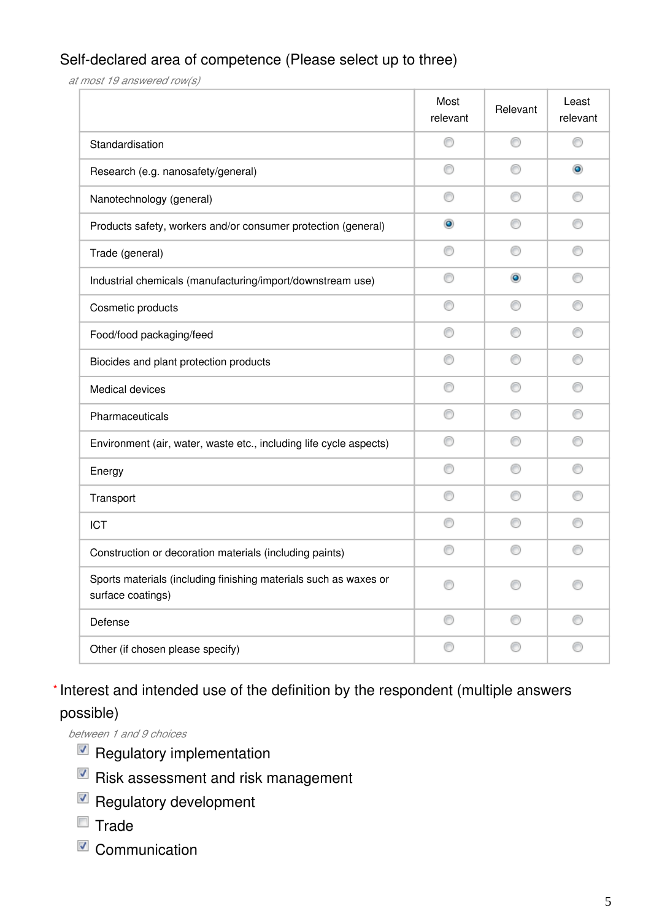## Self-declared area of competence (Please select up to three)

*at most 19 answered row(s)*

|                                                                                       | Most<br>relevant | Relevant   | Least<br>relevant |
|---------------------------------------------------------------------------------------|------------------|------------|-------------------|
| Standardisation                                                                       | ⊙                | ⊙          | ◎                 |
| Research (e.g. nanosafety/general)                                                    | ∩                | ⊙          | $\circledcirc$    |
| Nanotechnology (general)                                                              | ⊙                | ⊙          |                   |
| Products safety, workers and/or consumer protection (general)                         | $\bullet$        | ⊙          |                   |
| Trade (general)                                                                       | ⊙                | ⊙          |                   |
| Industrial chemicals (manufacturing/import/downstream use)                            | ∩                | $_{\odot}$ | ◎                 |
| Cosmetic products                                                                     | ⊙                | ⊙          | ◎                 |
| Food/food packaging/feed                                                              | ⋒                | ⊙          | ◎                 |
| Biocides and plant protection products                                                | ◎                | ⊙          | ◎                 |
| Medical devices                                                                       | ◎                | ⊙          |                   |
| Pharmaceuticals                                                                       | ◎                |            |                   |
| Environment (air, water, waste etc., including life cycle aspects)                    | O                | ⊙          |                   |
| Energy                                                                                | ∩                | ⊙          | €                 |
| Transport                                                                             | ⊙                |            |                   |
| <b>ICT</b>                                                                            | ∩                |            |                   |
| Construction or decoration materials (including paints)                               | ∩                |            | O                 |
| Sports materials (including finishing materials such as waxes or<br>surface coatings) | ⊙                |            |                   |
| Defense                                                                               | 0                | 0          | 0                 |
| Other (if chosen please specify)                                                      | 0                | ⊙          | 0                 |

## \* Interest and intended use of the definition by the respondent (multiple answers possible)

*between 1 and 9 choices*

- $\blacksquare$  Regulatory implementation
- $\blacksquare$  Risk assessment and risk management
- Regulatory development
- $\blacksquare$  Trade
- Communication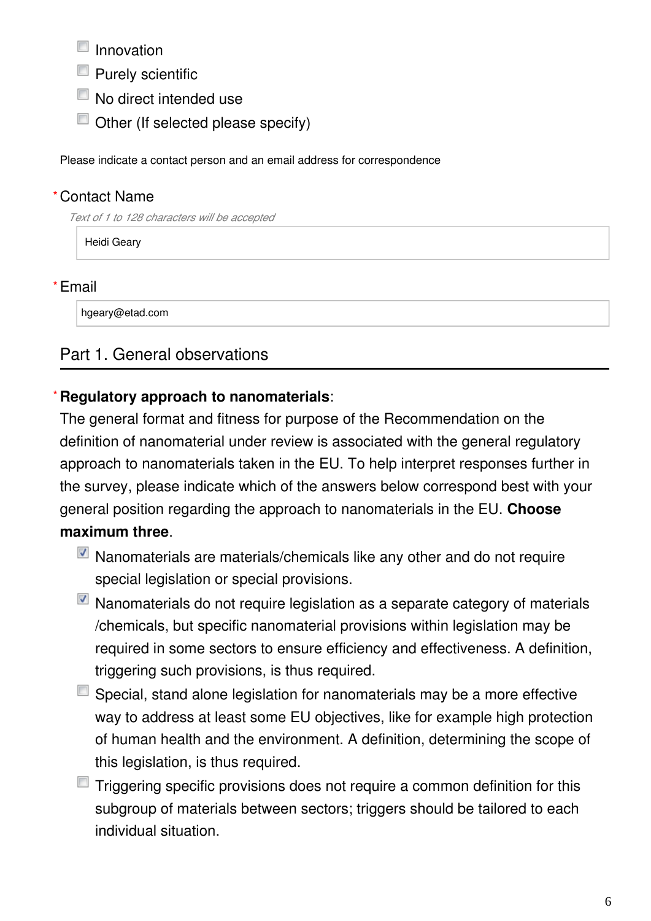$\blacksquare$  Innovation

- $\blacksquare$  Purely scientific
- No direct intended use
- $\Box$  Other (If selected please specify)

Please indicate a contact person and an email address for correspondence

## Contact Name **\***

*Text of 1 to 128 characters will be accepted*

Heidi Geary

## Email **\***

hgeary@etad.com

## Part 1. General observations

#### **Regulatory approach to nanomaterials**: **\***

The general format and fitness for purpose of the Recommendation on the definition of nanomaterial under review is associated with the general regulatory approach to nanomaterials taken in the EU. To help interpret responses further in the survey, please indicate which of the answers below correspond best with your general position regarding the approach to nanomaterials in the EU. **Choose maximum three**.

- Nanomaterials are materials/chemicals like any other and do not require special legislation or special provisions.
- Nanomaterials do not require legislation as a separate category of materials /chemicals, but specific nanomaterial provisions within legislation may be required in some sectors to ensure efficiency and effectiveness. A definition, triggering such provisions, is thus required.
- $\blacksquare$  Special, stand alone legislation for nanomaterials may be a more effective way to address at least some EU objectives, like for example high protection of human health and the environment. A definition, determining the scope of this legislation, is thus required.
- $\blacksquare$  Triggering specific provisions does not require a common definition for this subgroup of materials between sectors; triggers should be tailored to each individual situation.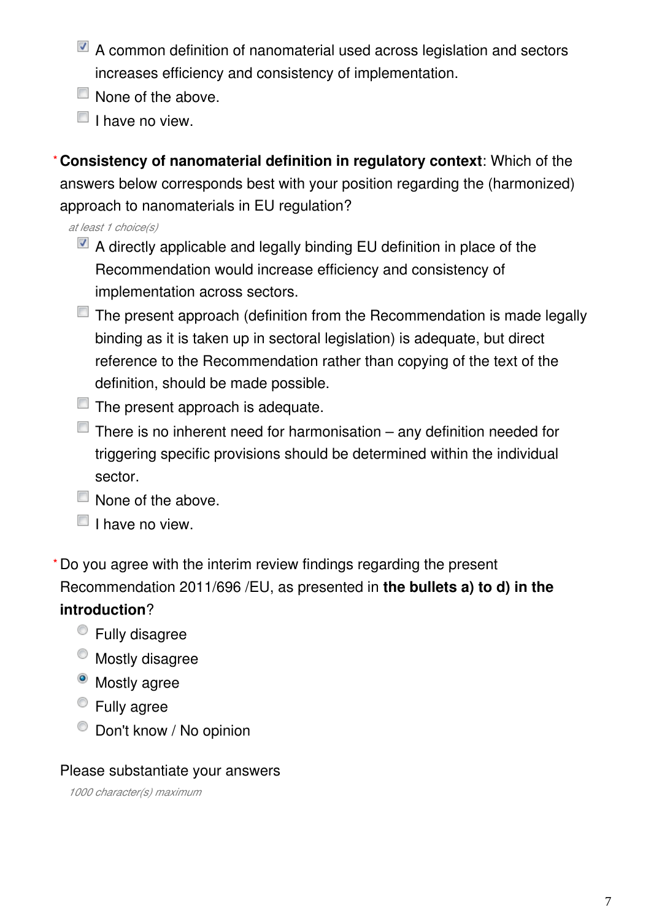- A common definition of nanomaterial used across legislation and sectors increases efficiency and consistency of implementation.
- None of the above.
- $\Box$  I have no view.

**Consistency of nanomaterial definition in regulatory context**: Which of the answers below corresponds best with your position regarding the (harmonized) approach to nanomaterials in EU regulation? **\***

*at least 1 choice(s)*

- $\blacksquare$  A directly applicable and legally binding EU definition in place of the Recommendation would increase efficiency and consistency of implementation across sectors.
- The present approach (definition from the Recommendation is made legally binding as it is taken up in sectoral legislation) is adequate, but direct reference to the Recommendation rather than copying of the text of the definition, should be made possible.
- $\Box$  The present approach is adequate.
- $\Box$  There is no inherent need for harmonisation any definition needed for triggering specific provisions should be determined within the individual sector.
- $\Box$  None of the above.
- $\Box$  I have no view.

Do you agree with the interim review findings regarding the present **\***Recommendation 2011/696 /EU, as presented in **the bullets a) to d) in the introduction**?

- Fully disagree
- $\bullet$  Mostly disagree
- <sup>o</sup> Mostly agree
- Fully agree
- $\bullet$  Don't know / No opinion

## Please substantiate your answers

*1000 character(s) maximum*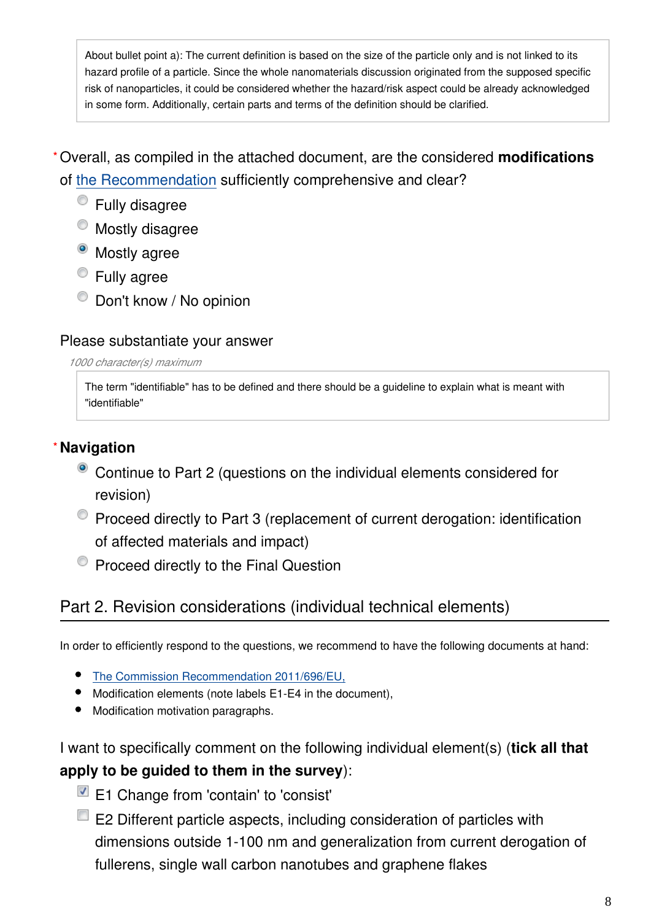About bullet point a): The current definition is based on the size of the particle only and is not linked to its hazard profile of a particle. Since the whole nanomaterials discussion originated from the supposed specific risk of nanoparticles, it could be considered whether the hazard/risk aspect could be already acknowledged in some form. Additionally, certain parts and terms of the definition should be clarified.

Overall, as compiled in the attached document, are the considered **modifications \*** of [the Recommendation](http://eur-lex.europa.eu/eli/reco/2011/696/oj) sufficiently comprehensive and clear?

- Fully disagree
- $\bullet$  Mostly disagree
- <sup>o</sup> Mostly agree
- Fully agree
- $\bullet$  Don't know / No opinion

## Please substantiate your answer

*1000 character(s) maximum*

The term "identifiable" has to be defined and there should be a guideline to explain what is meant with "identifiable"

## **Navigation \***

- Continue to Part 2 (questions on the individual elements considered for revision)
- Proceed directly to Part 3 (replacement of current derogation: identification of affected materials and impact)
- **Proceed directly to the Final Question**

## Part 2. Revision considerations (individual technical elements)

In order to efficiently respond to the questions, we recommend to have the following documents at hand:

- [The Commission Recommendation 2011/696/EU,](http://eur-lex.europa.eu/eli/reco/2011/696/oj)
- Modification elements (note labels E1-E4 in the document),
- Modification motivation paragraphs.

## I want to specifically comment on the following individual element(s) (**tick all that apply to be guided to them in the survey**):

- E1 Change from 'contain' to 'consist'
- $\blacksquare$  E2 Different particle aspects, including consideration of particles with dimensions outside 1-100 nm and generalization from current derogation of fullerens, single wall carbon nanotubes and graphene flakes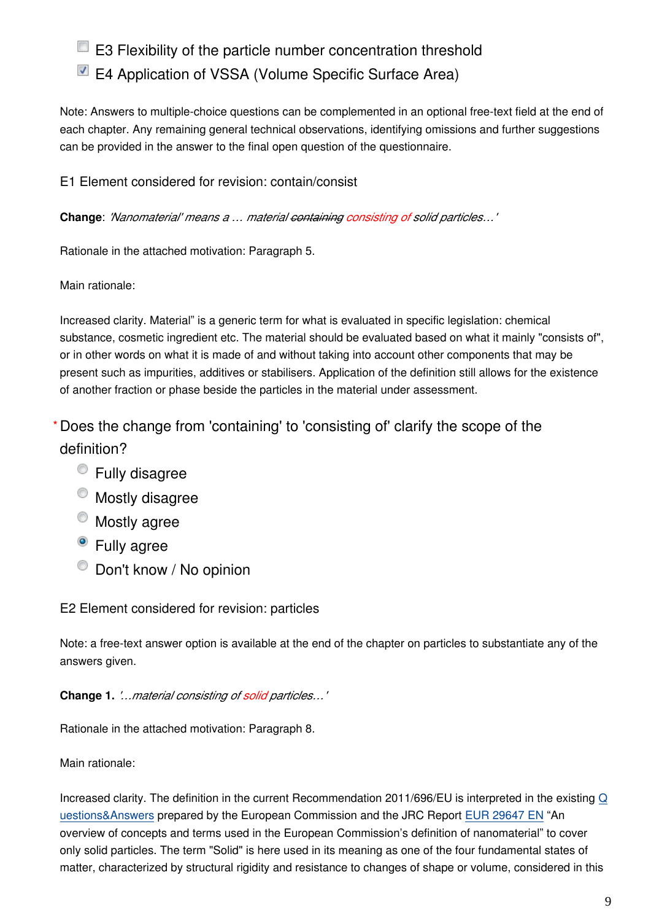## **E3** Flexibility of the particle number concentration threshold

## ■ E4 Application of VSSA (Volume Specific Surface Area)

Note: Answers to multiple-choice questions can be complemented in an optional free-text field at the end of each chapter. Any remaining general technical observations, identifying omissions and further suggestions can be provided in the answer to the final open question of the questionnaire.

E1 Element considered for revision: contain/consist

**Change**: *'Nanomaterial' means a … material containing consisting of solid particles…'*

Rationale in the attached motivation: Paragraph 5.

Main rationale:

Increased clarity. Material" is a generic term for what is evaluated in specific legislation: chemical substance, cosmetic ingredient etc. The material should be evaluated based on what it mainly "consists of", or in other words on what it is made of and without taking into account other components that may be present such as impurities, additives or stabilisers. Application of the definition still allows for the existence of another fraction or phase beside the particles in the material under assessment.

Does the change from 'containing' to 'consisting of' clarify the scope of the **\***definition?

- Fully disagree
- $\bullet$  Mostly disagree
- Mostly agree
- <sup>o</sup> Fully agree
- $\bullet$  Don't know / No opinion

E2 Element considered for revision: particles

Note: a free-text answer option is available at the end of the chapter on particles to substantiate any of the answers given.

**Change 1.** *'…material consisting of solid particles…'*

Rationale in the attached motivation: Paragraph 8.

Main rationale:

Increased clarity. The definition in the current Recommendation 2011/696/EU is interpreted in the existing [Q](http://ec.europa.eu/environment/chemicals/nanotech/faq) [uestions&Answers](http://ec.europa.eu/environment/chemicals/nanotech/faq) prepared by the European Commission and the JRC Report [EUR 29647 EN](https://op.europa.eu/en/publication-detail/-/publication/62b6ebc2-2f43-11e9-8d04-01aa75ed71a1/language-en%20) "An overview of concepts and terms used in the European Commission's definition of nanomaterial" to cover only solid particles. The term "Solid" is here used in its meaning as one of the four fundamental states of matter, characterized by structural rigidity and resistance to changes of shape or volume, considered in this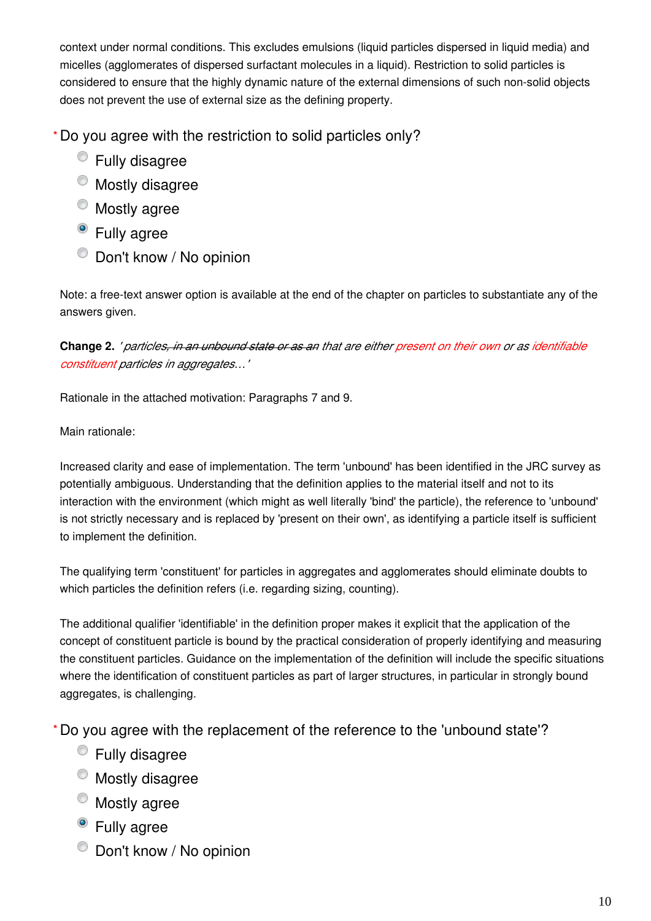context under normal conditions. This excludes emulsions (liquid particles dispersed in liquid media) and micelles (agglomerates of dispersed surfactant molecules in a liquid). Restriction to solid particles is considered to ensure that the highly dynamic nature of the external dimensions of such nonsolid objects does not prevent the use of external size as the defining property.

Do you agree with the restriction to solid particles only? **\***

- Fully disagree
- $\bullet$  Mostly disagree
- Mostly agree
- Fully agree
- $\bullet$  Don't know / No opinion

Note: a free-text answer option is available at the end of the chapter on particles to substantiate any of the answers given.

**Change 2.** *' particles, in an unbound state or as an that are either present on their own or as identifiable constituent particles in aggregates…'*

Rationale in the attached motivation: Paragraphs 7 and 9.

Main rationale:

Increased clarity and ease of implementation. The term 'unbound' has been identified in the JRC survey as potentially ambiguous. Understanding that the definition applies to the material itself and not to its interaction with the environment (which might as well literally 'bind' the particle), the reference to 'unbound' is not strictly necessary and is replaced by 'present on their own', as identifying a particle itself is sufficient to implement the definition.

The qualifying term 'constituent' for particles in aggregates and agglomerates should eliminate doubts to which particles the definition refers (i.e. regarding sizing, counting).

The additional qualifier 'identifiable' in the definition proper makes it explicit that the application of the concept of constituent particle is bound by the practical consideration of properly identifying and measuring the constituent particles. Guidance on the implementation of the definition will include the specific situations where the identification of constituent particles as part of larger structures, in particular in strongly bound aggregates, is challenging.

Do you agree with the replacement of the reference to the 'unbound state'? **\***

- Fully disagree
- $\bullet$  Mostly disagree
- $\bullet$  Mostly agree
- <sup>o</sup> Fully agree
- Don't know / No opinion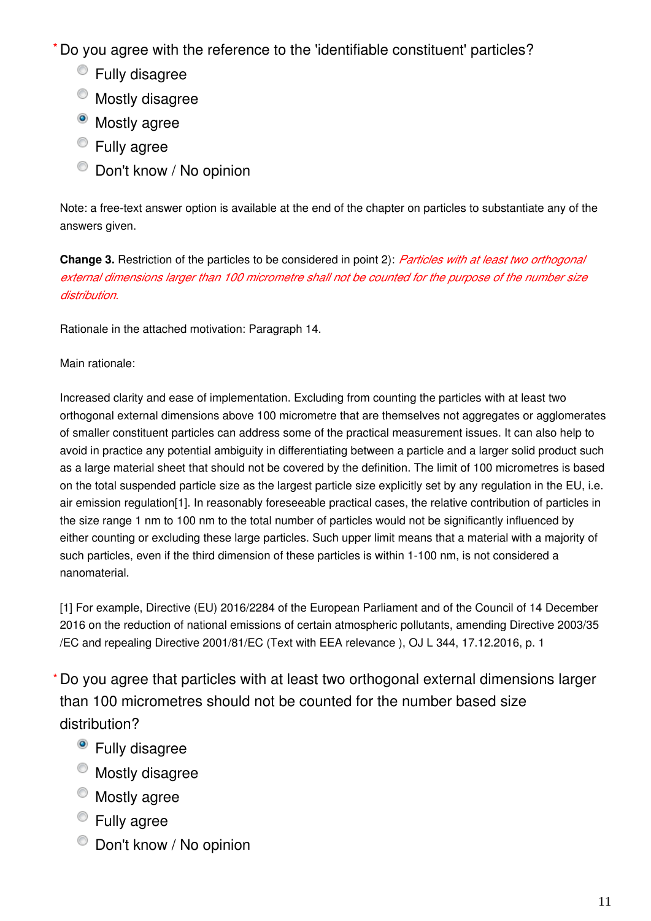Do you agree with the reference to the 'identifiable constituent' particles? **\***

- Fully disagree
- $^{\circ}$  Mostly disagree
- Mostly agree
- Fully agree
- $\bullet$  Don't know / No opinion

Note: a free-text answer option is available at the end of the chapter on particles to substantiate any of the answers given.

**Change 3.** Restriction of the particles to be considered in point 2): *Particles with at least two orthogonal external dimensions larger than 100 micrometre shall not be counted for the purpose of the number size distribution.*

Rationale in the attached motivation: Paragraph 14.

Main rationale:

Increased clarity and ease of implementation. Excluding from counting the particles with at least two orthogonal external dimensions above 100 micrometre that are themselves not aggregates or agglomerates of smaller constituent particles can address some of the practical measurement issues. It can also help to avoid in practice any potential ambiguity in differentiating between a particle and a larger solid product such as a large material sheet that should not be covered by the definition. The limit of 100 micrometres is based on the total suspended particle size as the largest particle size explicitly set by any regulation in the EU, i.e. air emission regulation[1]. In reasonably foreseeable practical cases, the relative contribution of particles in the size range 1 nm to 100 nm to the total number of particles would not be significantly influenced by either counting or excluding these large particles. Such upper limit means that a material with a majority of such particles, even if the third dimension of these particles is within 1-100 nm, is not considered a nanomaterial.

[1] For example, Directive (EU) 2016/2284 of the European Parliament and of the Council of 14 December 2016 on the reduction of national emissions of certain atmospheric pollutants, amending Directive 2003/35 /EC and repealing Directive 2001/81/EC (Text with EEA relevance ), OJ L 344, 17.12.2016, p. 1

Do you agree that particles with at least two orthogonal external dimensions larger **\***than 100 micrometres should not be counted for the number based size distribution?

- Fully disagree
- $\bullet$  Mostly disagree
- $^{\circ}$  Mostly agree
- **Eully agree**
- $\bullet$  Don't know / No opinion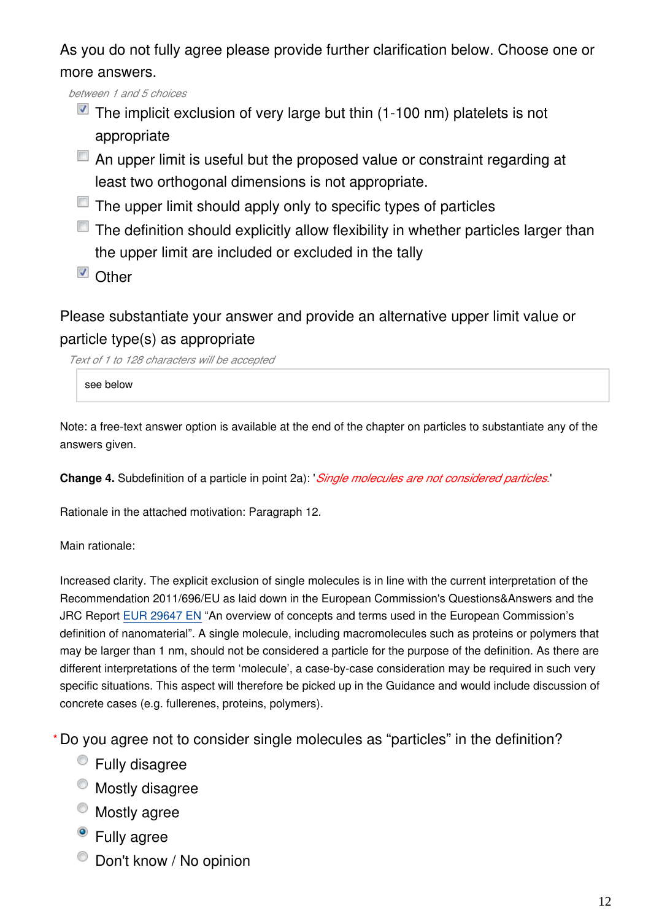As you do not fully agree please provide further clarification below. Choose one or more answers.

*between 1 and 5 choices*

- $\blacksquare$  The implicit exclusion of very large but thin (1-100 nm) platelets is not appropriate
- $\Box$  An upper limit is useful but the proposed value or constraint regarding at least two orthogonal dimensions is not appropriate.
- $\Box$  The upper limit should apply only to specific types of particles
- $\Box$  The definition should explicitly allow flexibility in whether particles larger than the upper limit are included or excluded in the tally
- Other

Please substantiate your answer and provide an alternative upper limit value or particle type(s) as appropriate

*Text of 1 to 128 characters will be accepted*

see below

Note: a free-text answer option is available at the end of the chapter on particles to substantiate any of the answers given.

**Change 4.** Subdefinition of a particle in point 2a): '*Single molecules are not considered particles.*'

Rationale in the attached motivation: Paragraph 12.

Main rationale:

Increased clarity. The explicit exclusion of single molecules is in line with the current interpretation of the Recommendation 2011/696/EU as laid down in the European Commission's Questions&Answers and the JRC Report [EUR 29647 EN](https://op.europa.eu/en/publication-detail/-/publication/62b6ebc2-2f43-11e9-8d04-01aa75ed71a1/language-en) "An overview of concepts and terms used in the European Commission's definition of nanomaterial". A single molecule, including macromolecules such as proteins or polymers that may be larger than 1 nm, should not be considered a particle for the purpose of the definition. As there are different interpretations of the term 'molecule', a case-by-case consideration may be required in such very specific situations. This aspect will therefore be picked up in the Guidance and would include discussion of concrete cases (e.g. fullerenes, proteins, polymers).

Do you agree not to consider single molecules as "particles" in the definition? **\***

- Fully disagree
- $^{\circ}$  Mostly disagree
- Mostly agree
- <sup>o</sup> Fully agree
- $\bullet$  Don't know / No opinion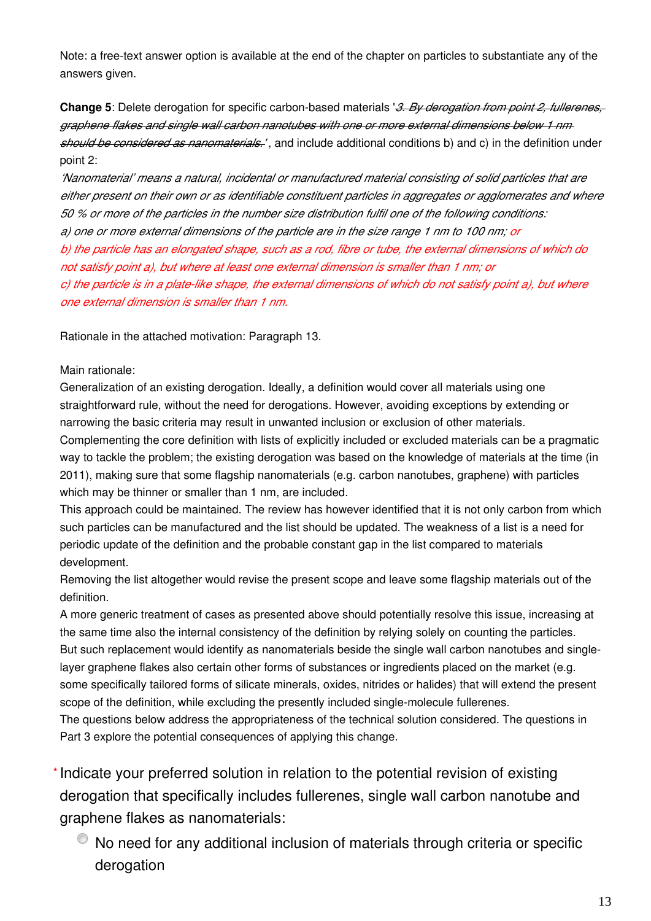Note: a free-text answer option is available at the end of the chapter on particles to substantiate any of the answers given.

**Change 5**: Delete derogation for specific carbon-based materials '*3. By derogation from point 2, fullerenes, graphene flakes and single wall carbon nanotubes with one or more external dimensions below 1 nm should be considered as nanomaterials.'* , and include additional conditions b) and c) in the definition under point 2:

*'Nanomaterial' means a natural, incidental or manufactured material consisting of solid particles that are either present on their own or as identifiable constituent particles in aggregates or agglomerates and where 50 % or more of the particles in the number size distribution fulfil one of the following conditions: a) one or more external dimensions of the particle are in the size range 1 nm to 100 nm; or b) the particle has an elongated shape, such as a rod, fibre or tube, the external dimensions of which do not satisfy point a), but where at least one external dimension is smaller than 1 nm; or c) the particle is in a plate-like shape, the external dimensions of which do not satisfy point a), but where one external dimension is smaller than 1 nm.*

Rationale in the attached motivation: Paragraph 13.

#### Main rationale:

Generalization of an existing derogation. Ideally, a definition would cover all materials using one straightforward rule, without the need for derogations. However, avoiding exceptions by extending or narrowing the basic criteria may result in unwanted inclusion or exclusion of other materials.

Complementing the core definition with lists of explicitly included or excluded materials can be a pragmatic way to tackle the problem; the existing derogation was based on the knowledge of materials at the time (in 2011), making sure that some flagship nanomaterials (e.g. carbon nanotubes, graphene) with particles which may be thinner or smaller than 1 nm, are included.

This approach could be maintained. The review has however identified that it is not only carbon from which such particles can be manufactured and the list should be updated. The weakness of a list is a need for periodic update of the definition and the probable constant gap in the list compared to materials development.

Removing the list altogether would revise the present scope and leave some flagship materials out of the definition.

A more generic treatment of cases as presented above should potentially resolve this issue, increasing at the same time also the internal consistency of the definition by relying solely on counting the particles. But such replacement would identify as nanomaterials beside the single wall carbon nanotubes and singlelayer graphene flakes also certain other forms of substances or ingredients placed on the market (e.g. some specifically tailored forms of silicate minerals, oxides, nitrides or halides) that will extend the present scope of the definition, while excluding the presently included single-molecule fullerenes.

The questions below address the appropriateness of the technical solution considered. The questions in Part 3 explore the potential consequences of applying this change.

\* Indicate your preferred solution in relation to the potential revision of existing derogation that specifically includes fullerenes, single wall carbon nanotube and graphene flakes as nanomaterials:

No need for any additional inclusion of materials through criteria or specific derogation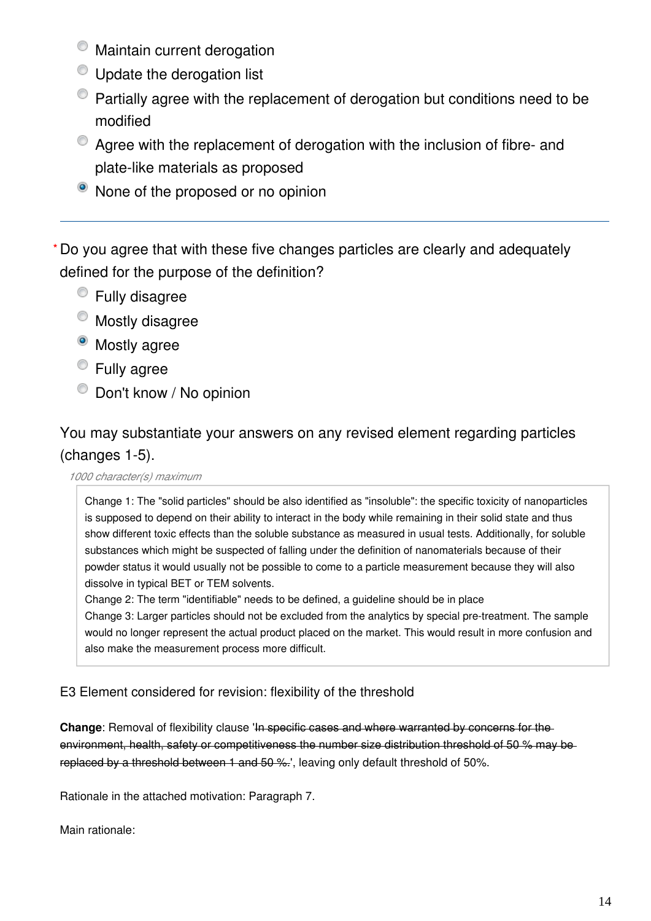- $\bullet$  Maintain current derogation
- $\bullet$  Update the derogation list
- Partially agree with the replacement of derogation but conditions need to be modified
- Agree with the replacement of derogation with the inclusion of fibre- and plate-like materials as proposed
- $\bullet$  None of the proposed or no opinion

Do you agree that with these five changes particles are clearly and adequately **\***defined for the purpose of the definition?

- Fully disagree
- $\bullet$  Mostly disagree
- Mostly agree
- **Eully agree**
- $\bullet$  Don't know / No opinion

## You may substantiate your answers on any revised element regarding particles (changes 1-5).

#### *1000 character(s) maximum*

Change 1: The "solid particles" should be also identified as "insoluble": the specific toxicity of nanoparticles is supposed to depend on their ability to interact in the body while remaining in their solid state and thus show different toxic effects than the soluble substance as measured in usual tests. Additionally, for soluble substances which might be suspected of falling under the definition of nanomaterials because of their powder status it would usually not be possible to come to a particle measurement because they will also dissolve in typical BET or TEM solvents.

Change 2: The term "identifiable" needs to be defined, a guideline should be in place Change 3: Larger particles should not be excluded from the analytics by special pre-treatment. The sample would no longer represent the actual product placed on the market. This would result in more confusion and also make the measurement process more difficult.

#### E3 Element considered for revision: flexibility of the threshold

**Change**: Removal of flexibility clause 'In specific cases and where warranted by concerns for the environment, health, safety or competitiveness the number size distribution threshold of 50 % may bereplaced by a threshold between 1 and 50 %.', leaving only default threshold of 50%.

Rationale in the attached motivation: Paragraph 7.

Main rationale: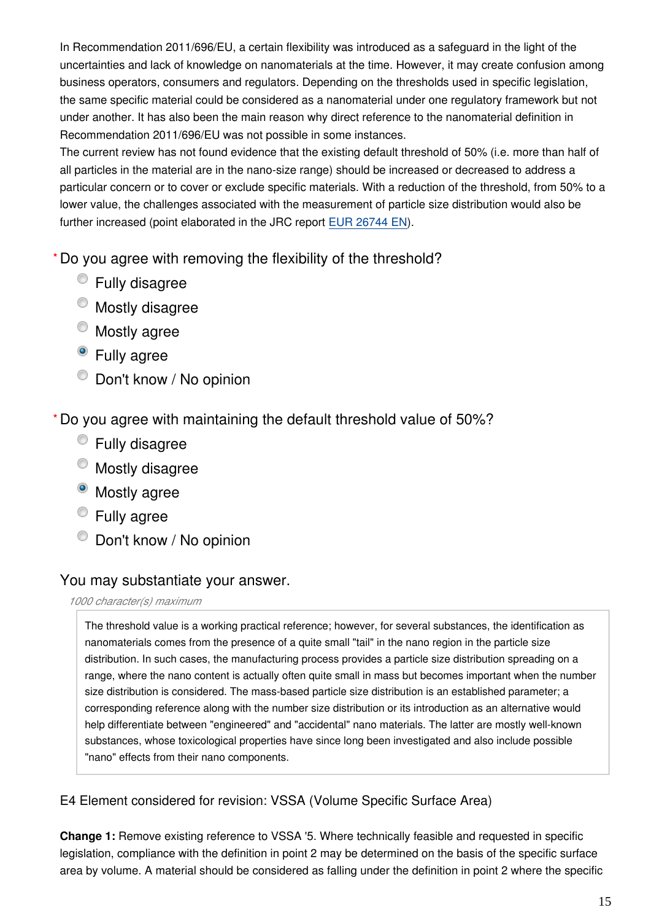In Recommendation 2011/696/EU, a certain flexibility was introduced as a safeguard in the light of the uncertainties and lack of knowledge on nanomaterials at the time. However, it may create confusion among business operators, consumers and regulators. Depending on the thresholds used in specific legislation, the same specific material could be considered as a nanomaterial under one regulatory framework but not under another. It has also been the main reason why direct reference to the nanomaterial definition in Recommendation 2011/696/EU was not possible in some instances.

The current review has not found evidence that the existing default threshold of 50% (i.e. more than half of all particles in the material are in the nano-size range) should be increased or decreased to address a particular concern or to cover or exclude specific materials. With a reduction of the threshold, from 50% to a lower value, the challenges associated with the measurement of particle size distribution would also be further increased (point elaborated in the JRC report [EUR 26744 EN](http://publications.jrc.ec.europa.eu/repository/bitstream/JRC91377/jrc_nm-def_report2_eur26744.pdf)).

Do you agree with removing the flexibility of the threshold? **\***

- Fully disagree
- $\bullet$  Mostly disagree
- Mostly agree
- <sup>o</sup> Fully agree
- $\bullet$  Don't know / No opinion

Do you agree with maintaining the default threshold value of 50%? **\***

- Fully disagree
- Mostly disagree
- <sup>o</sup> Mostly agree
- Fully agree
- $\bullet$  Don't know / No opinion

## You may substantiate your answer.

#### *1000 character(s) maximum*

The threshold value is a working practical reference; however, for several substances, the identification as nanomaterials comes from the presence of a quite small "tail" in the nano region in the particle size distribution. In such cases, the manufacturing process provides a particle size distribution spreading on a range, where the nano content is actually often quite small in mass but becomes important when the number size distribution is considered. The mass-based particle size distribution is an established parameter; a corresponding reference along with the number size distribution or its introduction as an alternative would help differentiate between "engineered" and "accidental" nano materials. The latter are mostly well-known substances, whose toxicological properties have since long been investigated and also include possible "nano" effects from their nano components.

### E4 Element considered for revision: VSSA (Volume Specific Surface Area)

**Change 1:** Remove existing reference to VSSA '5. Where technically feasible and requested in specific legislation, compliance with the definition in point 2 may be determined on the basis of the specific surface area by volume. A material should be considered as falling under the definition in point 2 where the specific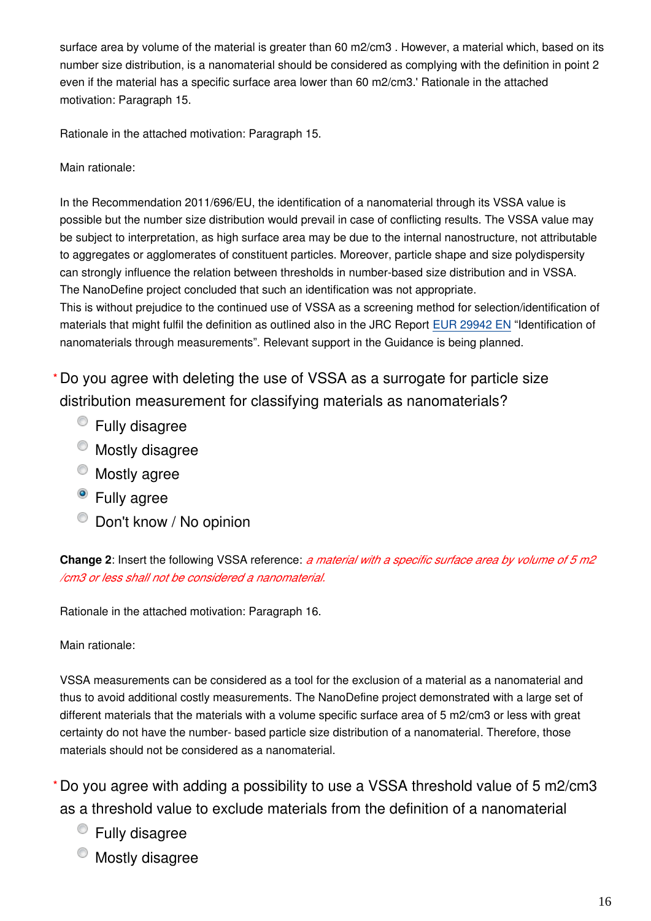surface area by volume of the material is greater than 60 m2/cm3 . However, a material which, based on its number size distribution, is a nanomaterial should be considered as complying with the definition in point 2 even if the material has a specific surface area lower than 60 m2/cm3.' Rationale in the attached motivation: Paragraph 15.

Rationale in the attached motivation: Paragraph 15.

Main rationale:

In the Recommendation 2011/696/EU, the identification of a nanomaterial through its VSSA value is possible but the number size distribution would prevail in case of conflicting results. The VSSA value may be subject to interpretation, as high surface area may be due to the internal nanostructure, not attributable to aggregates or agglomerates of constituent particles. Moreover, particle shape and size polydispersity can strongly influence the relation between thresholds in number-based size distribution and in VSSA. The NanoDefine project concluded that such an identification was not appropriate.

This is without prejudice to the continued use of VSSA as a screening method for selection/identification of materials that might fulfil the definition as outlined also in the JRC Report [EUR 29942 EN](https://op.europa.eu/en/publication-detail/-/publication/974431b9-1bc4-11ea-8c1f-01aa75ed71a1/language-en) "Identification of nanomaterials through measurements". Relevant support in the Guidance is being planned.

Do you agree with deleting the use of VSSA as a surrogate for particle size **\*** distribution measurement for classifying materials as nanomaterials?

- Fully disagree
- $\bullet$  Mostly disagree
- $^{\circ}$  Mostly agree
- Fully agree
- $\bullet$  Don't know / No opinion

**Change 2**: Insert the following VSSA reference: *a material with a specific surface area by volume of 5 m2 /cm3 or less shall not be considered a nanomaterial.*

Rationale in the attached motivation: Paragraph 16.

Main rationale:

VSSA measurements can be considered as a tool for the exclusion of a material as a nanomaterial and thus to avoid additional costly measurements. The NanoDefine project demonstrated with a large set of different materials that the materials with a volume specific surface area of 5 m2/cm3 or less with great certainty do not have the number- based particle size distribution of a nanomaterial. Therefore, those materials should not be considered as a nanomaterial.

Do you agree with adding a possibility to use a VSSA threshold value of 5 m2/cm3 **\***as a threshold value to exclude materials from the definition of a nanomaterial

- Fully disagree
- Mostly disagree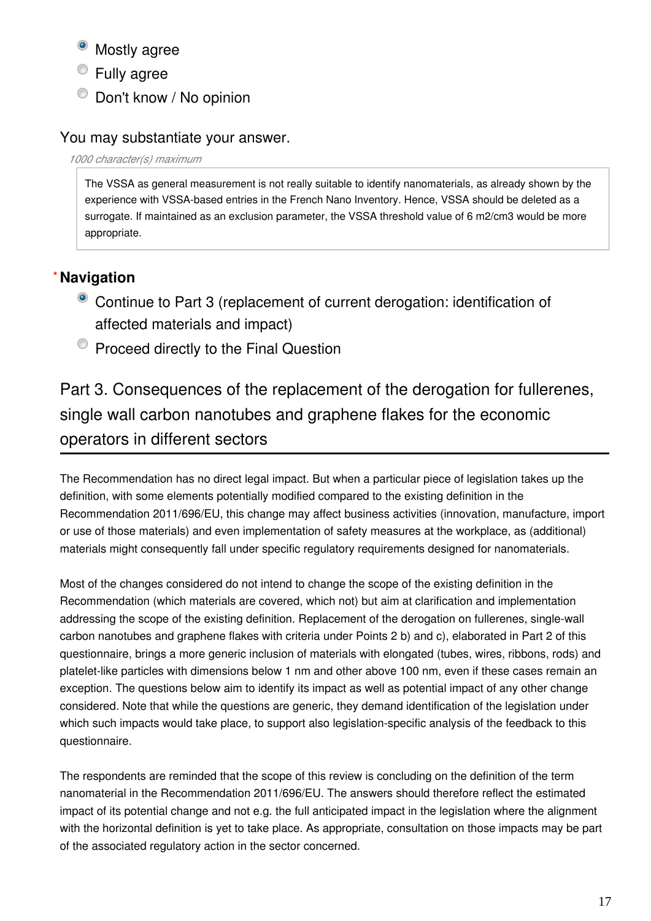• Mostly agree

Fully agree

 $\bullet$  Don't know / No opinion

## You may substantiate your answer.

*1000 character(s) maximum*

The VSSA as general measurement is not really suitable to identify nanomaterials, as already shown by the experience with VSSA-based entries in the French Nano Inventory. Hence, VSSA should be deleted as a surrogate. If maintained as an exclusion parameter, the VSSA threshold value of 6 m2/cm3 would be more appropriate.

## **Navigation \***

- Continue to Part 3 (replacement of current derogation: identification of affected materials and impact)
- $\bullet$  Proceed directly to the Final Question

Part 3. Consequences of the replacement of the derogation for fullerenes, single wall carbon nanotubes and graphene flakes for the economic operators in different sectors

The Recommendation has no direct legal impact. But when a particular piece of legislation takes up the definition, with some elements potentially modified compared to the existing definition in the Recommendation 2011/696/EU, this change may affect business activities (innovation, manufacture, import or use of those materials) and even implementation of safety measures at the workplace, as (additional) materials might consequently fall under specific regulatory requirements designed for nanomaterials.

Most of the changes considered do not intend to change the scope of the existing definition in the Recommendation (which materials are covered, which not) but aim at clarification and implementation addressing the scope of the existing definition. Replacement of the derogation on fullerenes, single-wall carbon nanotubes and graphene flakes with criteria under Points 2 b) and c), elaborated in Part 2 of this questionnaire, brings a more generic inclusion of materials with elongated (tubes, wires, ribbons, rods) and platelet-like particles with dimensions below 1 nm and other above 100 nm, even if these cases remain an exception. The questions below aim to identify its impact as well as potential impact of any other change considered. Note that while the questions are generic, they demand identification of the legislation under which such impacts would take place, to support also legislation-specific analysis of the feedback to this questionnaire.

The respondents are reminded that the scope of this review is concluding on the definition of the term nanomaterial in the Recommendation 2011/696/EU. The answers should therefore reflect the estimated impact of its potential change and not e.g. the full anticipated impact in the legislation where the alignment with the horizontal definition is yet to take place. As appropriate, consultation on those impacts may be part of the associated regulatory action in the sector concerned.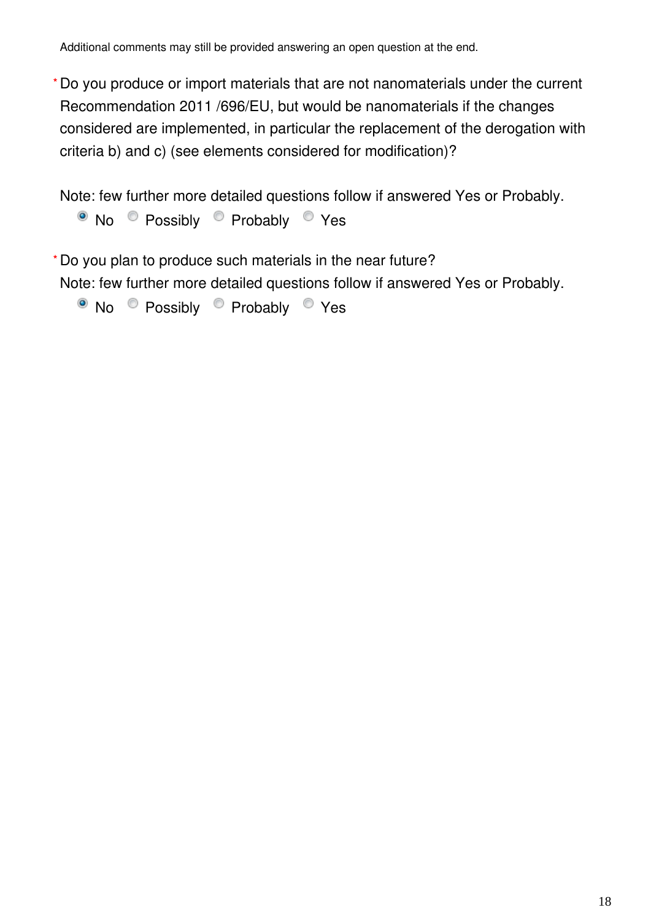Additional comments may still be provided answering an open question at the end.

Do you produce or import materials that are not nanomaterials under the current **\*** Recommendation 2011 /696/EU, but would be nanomaterials if the changes considered are implemented, in particular the replacement of the derogation with criteria b) and c) (see elements considered for modification)?

Note: few further more detailed questions follow if answered Yes or Probably.

• No Possibly Probably <sup>o</sup> Yes

Do you plan to produce such materials in the near future? **\***

Note: few further more detailed questions follow if answered Yes or Probably.

• No Possibly Probably Yes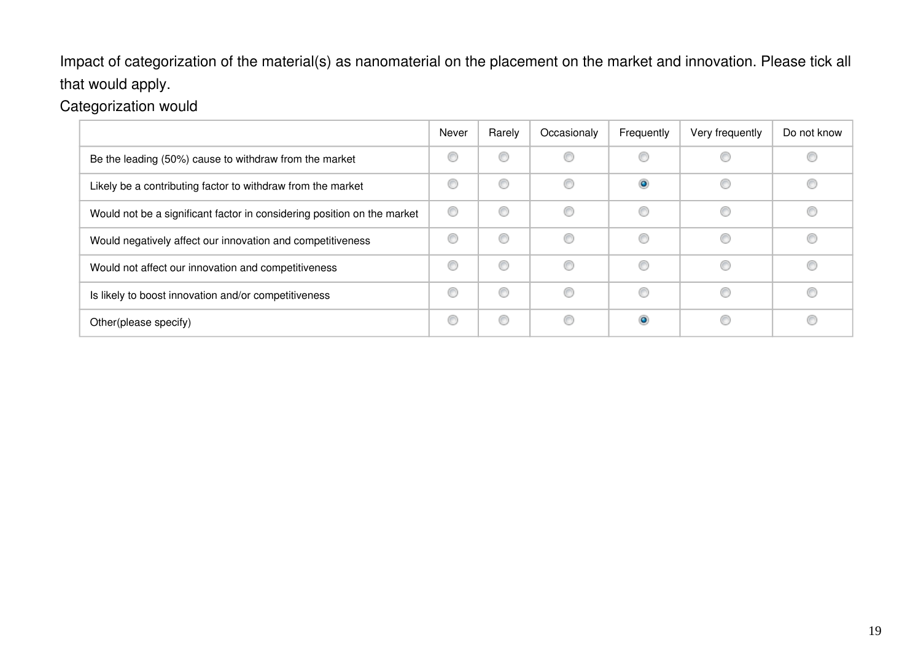Impact of categorization of the material(s) as nanomaterial on the placement on the market and innovation. Please tick all that would apply.

Categorization would

|                                                                         | Never | Rarely | Occasionaly | Frequently | Very frequently | Do not know |
|-------------------------------------------------------------------------|-------|--------|-------------|------------|-----------------|-------------|
| Be the leading (50%) cause to withdraw from the market                  | O     | œ      |             | €          |                 |             |
| Likely be a contributing factor to withdraw from the market             | C     | €      | €           | $\bullet$  | €               | Œ           |
| Would not be a significant factor in considering position on the market | ⊙     | ◎      | €           | C          | €               |             |
| Would negatively affect our innovation and competitiveness              | C     | C      |             | ⋒          |                 |             |
| Would not affect our innovation and competitiveness                     | C     | €      | €           | C          | €               | Œ           |
| Is likely to boost innovation and/or competitiveness                    | C     | ⋒      | ⋒           | ⊙          | €               |             |
| Other(please specify)                                                   | ⊙     | 6      |             | ۱          |                 |             |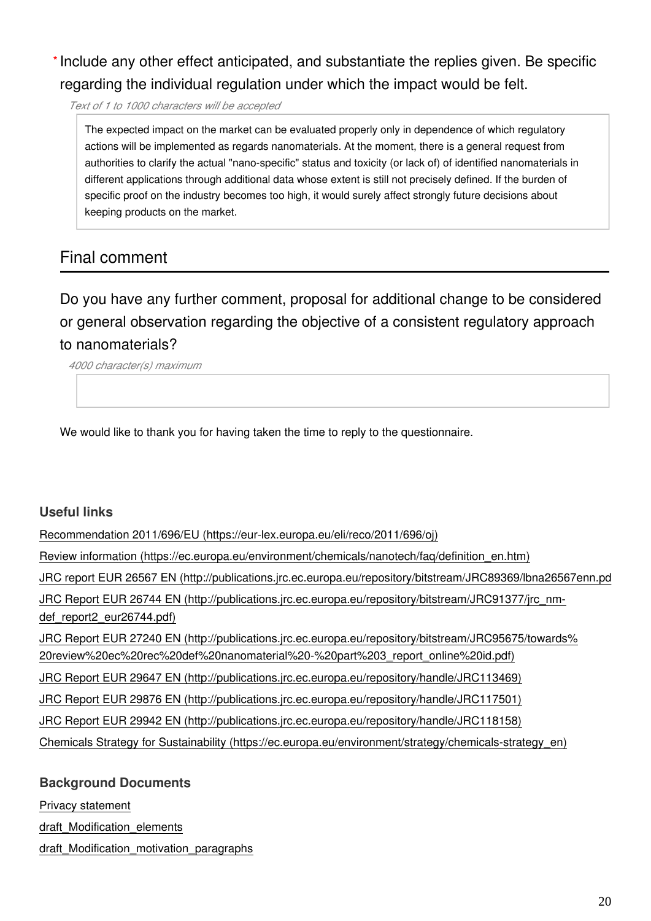## \* Include any other effect anticipated, and substantiate the replies given. Be specific regarding the individual regulation under which the impact would be felt.

*Text of 1 to 1000 characters will be accepted*

The expected impact on the market can be evaluated properly only in dependence of which regulatory actions will be implemented as regards nanomaterials. At the moment, there is a general request from authorities to clarify the actual "nano-specific" status and toxicity (or lack of) of identified nanomaterials in different applications through additional data whose extent is still not precisely defined. If the burden of specific proof on the industry becomes too high, it would surely affect strongly future decisions about keeping products on the market.

## Final comment

Do you have any further comment, proposal for additional change to be considered or general observation regarding the objective of a consistent regulatory approach to nanomaterials?

*4000 character(s) maximum*

We would like to thank you for having taken the time to reply to the questionnaire.

#### **Useful links**

[Recommendation 2011/696/EU \(https://eur-lex.europa.eu/eli/reco/2011/696/oj\)](https://eur-lex.europa.eu/eli/reco/2011/696/oj) [Review information \(https://ec.europa.eu/environment/chemicals/nanotech/faq/definition\\_en.htm\)](https://ec.europa.eu/environment/chemicals/nanotech/faq/definition_en.htm) JRC report EUR 26567 EN (http://publications.jrc.ec.europa.eu/repository/bitstream/JRC89369/lbna26567enn.pd [JRC Report EUR 26744 EN \(http://publications.jrc.ec.europa.eu/repository/bitstream/JRC91377/jrc\\_nm](http://publications.jrc.ec.europa.eu/repository/bitstream/JRC91377/jrc_nm-def_report2_eur26744.pdf)[def\\_report2\\_eur26744.pdf\)](http://publications.jrc.ec.europa.eu/repository/bitstream/JRC91377/jrc_nm-def_report2_eur26744.pdf) [JRC Report EUR 27240 EN \(http://publications.jrc.ec.europa.eu/repository/bitstream/JRC95675/towards%](http://publications.jrc.ec.europa.eu/repository/bitstream/JRC95675/towards%20review%20ec%20rec%20def%20nanomaterial%20-%20part%203_report_online%20id.pdf) [20review%20ec%20rec%20def%20nanomaterial%20-%20part%203\\_report\\_online%20id.pdf\)](http://publications.jrc.ec.europa.eu/repository/bitstream/JRC95675/towards%20review%20ec%20rec%20def%20nanomaterial%20-%20part%203_report_online%20id.pdf) [JRC Report EUR 29647 EN \(http://publications.jrc.ec.europa.eu/repository/handle/JRC113469\)](http://publications.jrc.ec.europa.eu/repository/handle/JRC113469) [JRC Report EUR 29876 EN \(http://publications.jrc.ec.europa.eu/repository/handle/JRC117501\)](http://publications.jrc.ec.europa.eu/repository/handle/JRC117501) [JRC Report EUR 29942 EN \(http://publications.jrc.ec.europa.eu/repository/handle/JRC118158\)](http://publications.jrc.ec.europa.eu/repository/handle/JRC118158) [Chemicals Strategy for Sustainability \(https://ec.europa.eu/environment/strategy/chemicals-strategy\\_en\)](https://ec.europa.eu/environment/strategy/chemicals-strategy_en)

#### **Background Documents**

Privacy statement

draft\_Modification\_elements

draft\_Modification\_motivation\_paragraphs